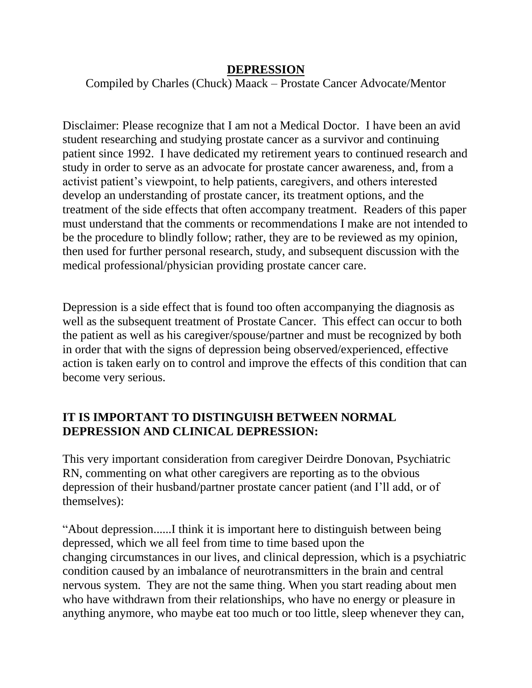#### **DEPRESSION**

Compiled by Charles (Chuck) Maack – Prostate Cancer Advocate/Mentor

Disclaimer: Please recognize that I am not a Medical Doctor. I have been an avid student researching and studying prostate cancer as a survivor and continuing patient since 1992. I have dedicated my retirement years to continued research and study in order to serve as an advocate for prostate cancer awareness, and, from a activist patient's viewpoint, to help patients, caregivers, and others interested develop an understanding of prostate cancer, its treatment options, and the treatment of the side effects that often accompany treatment. Readers of this paper must understand that the comments or recommendations I make are not intended to be the procedure to blindly follow; rather, they are to be reviewed as my opinion, then used for further personal research, study, and subsequent discussion with the medical professional/physician providing prostate cancer care.

Depression is a side effect that is found too often accompanying the diagnosis as well as the subsequent treatment of Prostate Cancer. This effect can occur to both the patient as well as his caregiver/spouse/partner and must be recognized by both in order that with the signs of depression being observed/experienced, effective action is taken early on to control and improve the effects of this condition that can become very serious.

## **IT IS IMPORTANT TO DISTINGUISH BETWEEN NORMAL DEPRESSION AND CLINICAL DEPRESSION:**

This very important consideration from caregiver Deirdre Donovan, Psychiatric RN, commenting on what other caregivers are reporting as to the obvious depression of their husband/partner prostate cancer patient (and I'll add, or of themselves):

"About depression......I think it is important here to distinguish between being depressed, which we all feel from time to time based upon the changing circumstances in our lives, and clinical depression, which is a psychiatric condition caused by an imbalance of neurotransmitters in the brain and central nervous system. They are not the same thing. When you start reading about men who have withdrawn from their relationships, who have no energy or pleasure in anything anymore, who maybe eat too much or too little, sleep whenever they can,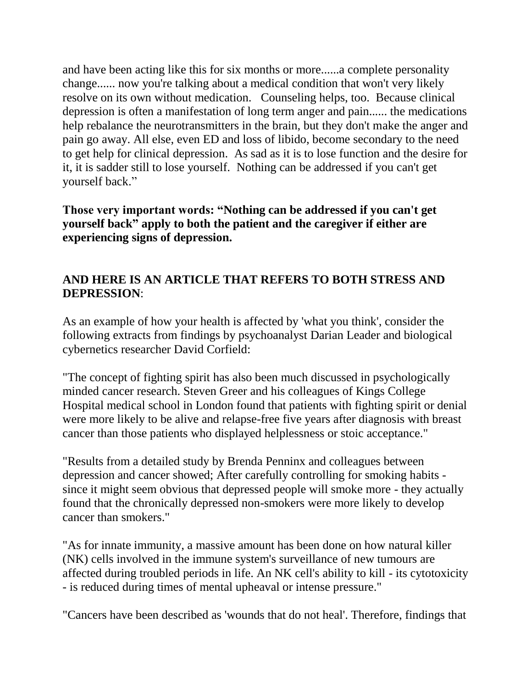and have been acting like this for six months or more......a complete personality change...... now you're talking about a medical condition that won't very likely resolve on its own without medication. Counseling helps, too. Because clinical depression is often a manifestation of long term anger and pain...... the medications help rebalance the neurotransmitters in the brain, but they don't make the anger and pain go away. All else, even ED and loss of libido, become secondary to the need to get help for clinical depression. As sad as it is to lose function and the desire for it, it is sadder still to lose yourself. Nothing can be addressed if you can't get yourself back."

**Those very important words: "Nothing can be addressed if you can't get yourself back" apply to both the patient and the caregiver if either are experiencing signs of depression.**

## **AND HERE IS AN ARTICLE THAT REFERS TO BOTH STRESS AND DEPRESSION**:

As an example of how your health is affected by 'what you think', consider the following extracts from findings by psychoanalyst Darian Leader and biological cybernetics researcher David Corfield:

"The concept of fighting spirit has also been much discussed in psychologically minded cancer research. Steven Greer and his colleagues of Kings College Hospital medical school in London found that patients with fighting spirit or denial were more likely to be alive and relapse-free five years after diagnosis with breast cancer than those patients who displayed helplessness or stoic acceptance."

"Results from a detailed study by Brenda Penninx and colleagues between depression and cancer showed; After carefully controlling for smoking habits since it might seem obvious that depressed people will smoke more - they actually found that the chronically depressed non-smokers were more likely to develop cancer than smokers."

"As for innate immunity, a massive amount has been done on how natural killer (NK) cells involved in the immune system's surveillance of new tumours are affected during troubled periods in life. An NK cell's ability to kill - its cytotoxicity - is reduced during times of mental upheaval or intense pressure."

"Cancers have been described as 'wounds that do not heal'. Therefore, findings that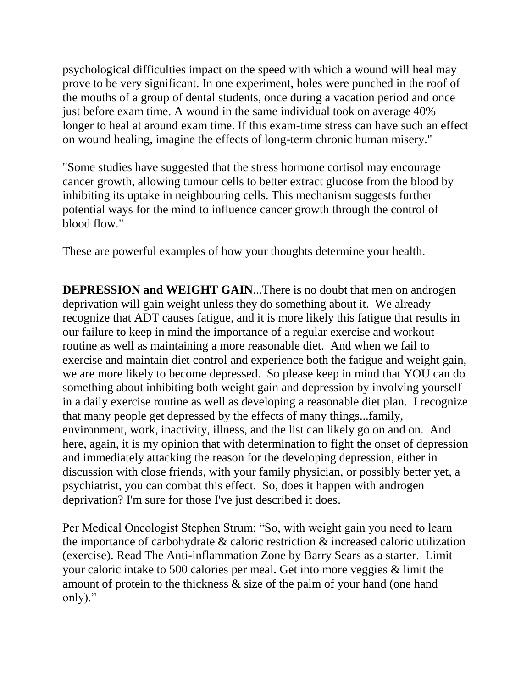psychological difficulties impact on the speed with which a wound will heal may prove to be very significant. In one experiment, holes were punched in the roof of the mouths of a group of dental students, once during a vacation period and once just before exam time. A wound in the same individual took on average 40% longer to heal at around exam time. If this exam-time stress can have such an effect on wound healing, imagine the effects of long-term chronic human misery."

"Some studies have suggested that the stress hormone cortisol may encourage cancer growth, allowing tumour cells to better extract glucose from the blood by inhibiting its uptake in neighbouring cells. This mechanism suggests further potential ways for the mind to influence cancer growth through the control of blood flow."

These are powerful examples of how your thoughts determine your health.

**DEPRESSION and WEIGHT GAIN**...There is no doubt that men on androgen deprivation will gain weight unless they do something about it. We already recognize that ADT causes fatigue, and it is more likely this fatigue that results in our failure to keep in mind the importance of a regular exercise and workout routine as well as maintaining a more reasonable diet. And when we fail to exercise and maintain diet control and experience both the fatigue and weight gain, we are more likely to become depressed. So please keep in mind that YOU can do something about inhibiting both weight gain and depression by involving yourself in a daily exercise routine as well as developing a reasonable diet plan. I recognize that many people get depressed by the effects of many things...family, environment, work, inactivity, illness, and the list can likely go on and on. And here, again, it is my opinion that with determination to fight the onset of depression and immediately attacking the reason for the developing depression, either in discussion with close friends, with your family physician, or possibly better yet, a psychiatrist, you can combat this effect. So, does it happen with androgen deprivation? I'm sure for those I've just described it does.

Per Medical Oncologist Stephen Strum: "So, with weight gain you need to learn the importance of carbohydrate & caloric restriction & increased caloric utilization (exercise). Read The Anti-inflammation Zone by Barry Sears as a starter. Limit your caloric intake to 500 calories per meal. Get into more veggies & limit the amount of protein to the thickness & size of the palm of your hand (one hand only)."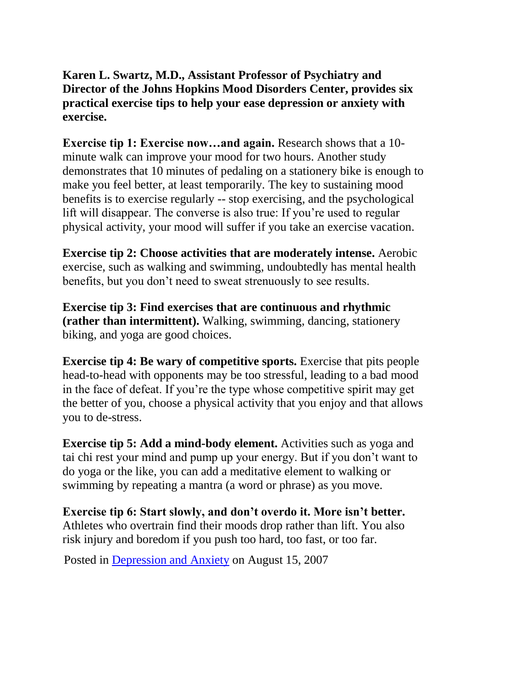**Karen L. Swartz, M.D., Assistant Professor of Psychiatry and Director of the Johns Hopkins Mood Disorders Center, provides six practical exercise tips to help your ease depression or anxiety with exercise.**

**Exercise tip 1: Exercise now…and again.** Research shows that a 10 minute walk can improve your mood for two hours. Another study demonstrates that 10 minutes of pedaling on a stationery bike is enough to make you feel better, at least temporarily. The key to sustaining mood benefits is to exercise regularly -- stop exercising, and the psychological lift will disappear. The converse is also true: If you're used to regular physical activity, your mood will suffer if you take an exercise vacation.

**Exercise tip 2: Choose activities that are moderately intense.** Aerobic exercise, such as walking and swimming, undoubtedly has mental health benefits, but you don't need to sweat strenuously to see results.

**Exercise tip 3: Find exercises that are continuous and rhythmic (rather than intermittent).** Walking, swimming, dancing, stationery biking, and yoga are good choices.

**Exercise tip 4: Be wary of competitive sports.** Exercise that pits people head-to-head with opponents may be too stressful, leading to a bad mood in the face of defeat. If you're the type whose competitive spirit may get the better of you, choose a physical activity that you enjoy and that allows you to de-stress.

**Exercise tip 5: Add a mind-body element.** Activities such as yoga and tai chi rest your mind and pump up your energy. But if you don't want to do yoga or the like, you can add a meditative element to walking or swimming by repeating a mantra (a word or phrase) as you move.

**Exercise tip 6: Start slowly, and don't overdo it. More isn't better.** Athletes who overtrain find their moods drop rather than lift. You also risk injury and boredom if you push too hard, too fast, or too far.

Posted in [Depression and](http://www.johnshopkinshealthalerts.com/alerts/depression_anxiety/) Anxiety on August 15, 2007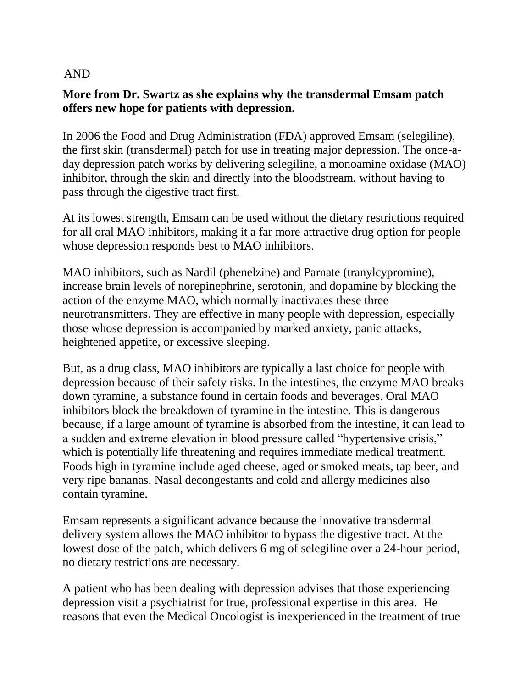### AND

### **More from Dr. Swartz as she explains why the transdermal Emsam patch offers new hope for patients with depression.**

In 2006 the Food and Drug Administration (FDA) approved Emsam (selegiline), the first skin (transdermal) patch for use in treating major depression. The once-aday depression patch works by delivering selegiline, a monoamine oxidase (MAO) inhibitor, through the skin and directly into the bloodstream, without having to pass through the digestive tract first.

At its lowest strength, Emsam can be used without the dietary restrictions required for all oral MAO inhibitors, making it a far more attractive drug option for people whose depression responds best to MAO inhibitors.

MAO inhibitors, such as Nardil (phenelzine) and Parnate (tranylcypromine), increase brain levels of norepinephrine, serotonin, and dopamine by blocking the action of the enzyme MAO, which normally inactivates these three neurotransmitters. They are effective in many people with depression, especially those whose depression is accompanied by marked anxiety, panic attacks, heightened appetite, or excessive sleeping.

But, as a drug class, MAO inhibitors are typically a last choice for people with depression because of their safety risks. In the intestines, the enzyme MAO breaks down tyramine, a substance found in certain foods and beverages. Oral MAO inhibitors block the breakdown of tyramine in the intestine. This is dangerous because, if a large amount of tyramine is absorbed from the intestine, it can lead to a sudden and extreme elevation in blood pressure called "hypertensive crisis," which is potentially life threatening and requires immediate medical treatment. Foods high in tyramine include aged cheese, aged or smoked meats, tap beer, and very ripe bananas. Nasal decongestants and cold and allergy medicines also contain tyramine.

Emsam represents a significant advance because the innovative transdermal delivery system allows the MAO inhibitor to bypass the digestive tract. At the lowest dose of the patch, which delivers 6 mg of selegiline over a 24-hour period, no dietary restrictions are necessary.

A patient who has been dealing with depression advises that those experiencing depression visit a psychiatrist for true, professional expertise in this area. He reasons that even the Medical Oncologist is inexperienced in the treatment of true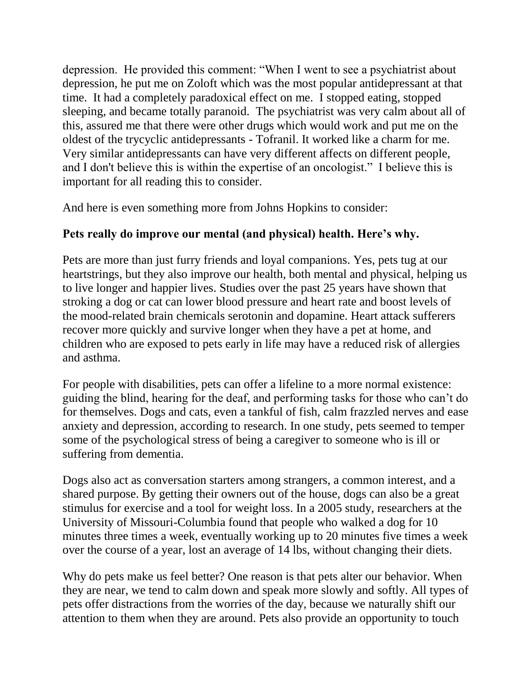depression. He provided this comment: "When I went to see a psychiatrist about depression, he put me on Zoloft which was the most popular antidepressant at that time. It had a completely paradoxical effect on me. I stopped eating, stopped sleeping, and became totally paranoid. The psychiatrist was very calm about all of this, assured me that there were other drugs which would work and put me on the oldest of the trycyclic antidepressants - Tofranil. It worked like a charm for me. Very similar antidepressants can have very different affects on different people, and I don't believe this is within the expertise of an oncologist." I believe this is important for all reading this to consider.

And here is even something more from Johns Hopkins to consider:

# **Pets really do improve our mental (and physical) health. Here's why.**

Pets are more than just furry friends and loyal companions. Yes, pets tug at our heartstrings, but they also improve our health, both mental and physical, helping us to live longer and happier lives. Studies over the past 25 years have shown that stroking a dog or cat can lower blood pressure and heart rate and boost levels of the mood-related brain chemicals serotonin and dopamine. Heart attack sufferers recover more quickly and survive longer when they have a pet at home, and children who are exposed to pets early in life may have a reduced risk of allergies and asthma.

For people with disabilities, pets can offer a lifeline to a more normal existence: guiding the blind, hearing for the deaf, and performing tasks for those who can't do for themselves. Dogs and cats, even a tankful of fish, calm frazzled nerves and ease anxiety and depression, according to research. In one study, pets seemed to temper some of the psychological stress of being a caregiver to someone who is ill or suffering from dementia.

Dogs also act as conversation starters among strangers, a common interest, and a shared purpose. By getting their owners out of the house, dogs can also be a great stimulus for exercise and a tool for weight loss. In a 2005 study, researchers at the University of Missouri-Columbia found that people who walked a dog for 10 minutes three times a week, eventually working up to 20 minutes five times a week over the course of a year, lost an average of 14 lbs, without changing their diets.

Why do pets make us feel better? One reason is that pets alter our behavior. When they are near, we tend to calm down and speak more slowly and softly. All types of pets offer distractions from the worries of the day, because we naturally shift our attention to them when they are around. Pets also provide an opportunity to touch